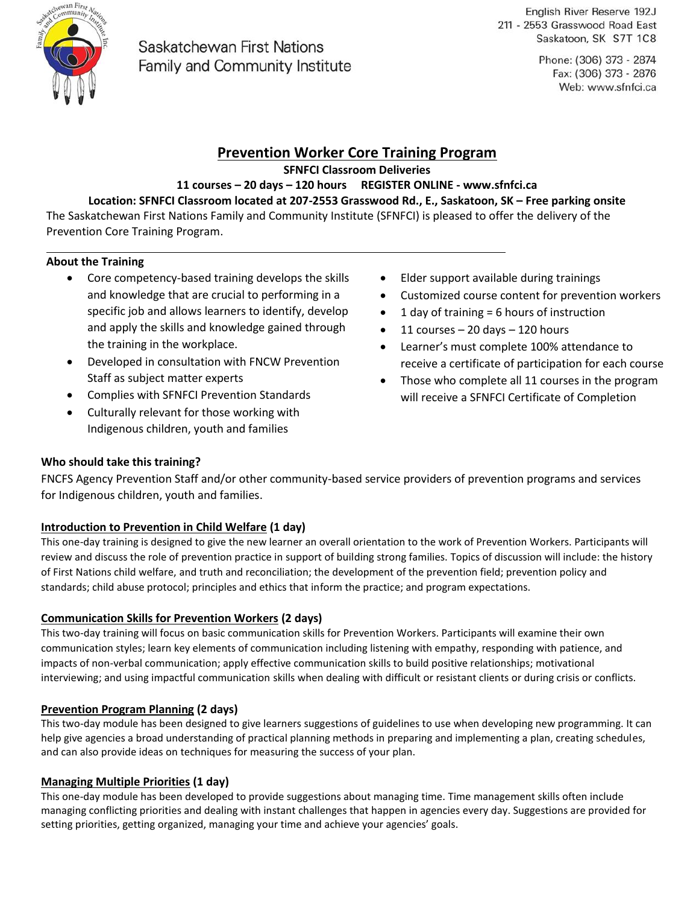

# Saskatchewan First Nations **Family and Community Institute**

English River Reserve 192J 211 - 2553 Grasswood Road East Saskatoon, SK S7T 1C8

> Phone: (306) 373 - 2874 Fax: (306) 373 - 2876 Web: www.sfnfci.ca

## **Prevention Worker Core Training Program**

**SFNFCI Classroom Deliveries** 

**11 courses – 20 days – 120 hours REGISTER ONLINE - www.sfnfci.ca** 

## **Location: SFNFCI Classroom located at 207-2553 Grasswood Rd., E., Saskatoon, SK – Free parking onsite**

The Saskatchewan First Nations Family and Community Institute (SFNFCI) is pleased to offer the delivery of the Prevention Core Training Program.

### **About the Training**

- Core competency-based training develops the skills and knowledge that are crucial to performing in a specific job and allows learners to identify, develop and apply the skills and knowledge gained through the training in the workplace.
- Developed in consultation with FNCW Prevention Staff as subject matter experts
- Complies with SFNFCI Prevention Standards
- Culturally relevant for those working with Indigenous children, youth and families
- Elder support available during trainings
- Customized course content for prevention workers
- $\bullet$  1 day of training = 6 hours of instruction
- $\bullet$  11 courses 20 days 120 hours
- Learner's must complete 100% attendance to receive a certificate of participation for each course
- Those who complete all 11 courses in the program will receive a SFNFCI Certificate of Completion

## **Who should take this training?**

FNCFS Agency Prevention Staff and/or other community-based service providers of prevention programs and services for Indigenous children, youth and families.

### **Introduction to Prevention in Child Welfare (1 day)**

This one-day training is designed to give the new learner an overall orientation to the work of Prevention Workers. Participants will review and discuss the role of prevention practice in support of building strong families. Topics of discussion will include: the history of First Nations child welfare, and truth and reconciliation; the development of the prevention field; prevention policy and standards; child abuse protocol; principles and ethics that inform the practice; and program expectations.

### **Communication Skills for Prevention Workers (2 days)**

This two-day training will focus on basic communication skills for Prevention Workers. Participants will examine their own communication styles; learn key elements of communication including listening with empathy, responding with patience, and impacts of non-verbal communication; apply effective communication skills to build positive relationships; motivational interviewing; and using impactful communication skills when dealing with difficult or resistant clients or during crisis or conflicts.

## **Prevention Program Planning (2 days)**

This two-day module has been designed to give learners suggestions of guidelines to use when developing new programming. It can help give agencies a broad understanding of practical planning methods in preparing and implementing a plan, creating schedules, and can also provide ideas on techniques for measuring the success of your plan.

### **Managing Multiple Priorities (1 day)**

This one-day module has been developed to provide suggestions about managing time. Time management skills often include managing conflicting priorities and dealing with instant challenges that happen in agencies every day. Suggestions are provided for setting priorities, getting organized, managing your time and achieve your agencies' goals.